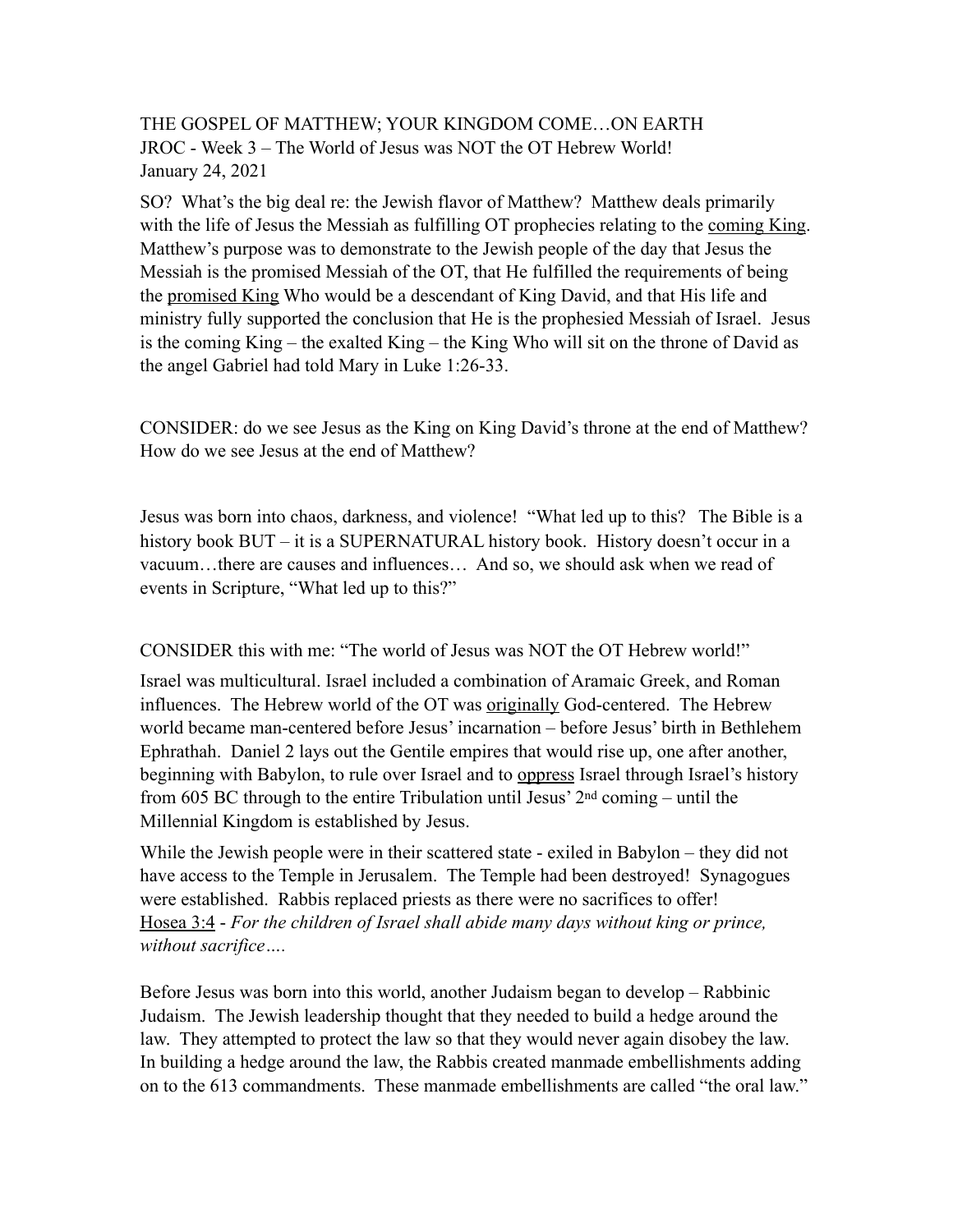## THE GOSPEL OF MATTHEW; YOUR KINGDOM COME…ON EARTH JROC - Week 3 – The World of Jesus was NOT the OT Hebrew World! January 24, 2021

SO? What's the big deal re: the Jewish flavor of Matthew? Matthew deals primarily with the life of Jesus the Messiah as fulfilling OT prophecies relating to the coming King. Matthew's purpose was to demonstrate to the Jewish people of the day that Jesus the Messiah is the promised Messiah of the OT, that He fulfilled the requirements of being the promised King Who would be a descendant of King David, and that His life and ministry fully supported the conclusion that He is the prophesied Messiah of Israel. Jesus is the coming King – the exalted King – the King Who will sit on the throne of David as the angel Gabriel had told Mary in Luke 1:26-33.

CONSIDER: do we see Jesus as the King on King David's throne at the end of Matthew? How do we see Jesus at the end of Matthew?

Jesus was born into chaos, darkness, and violence! "What led up to this? The Bible is a history book BUT – it is a SUPERNATURAL history book. History doesn't occur in a vacuum…there are causes and influences… And so, we should ask when we read of events in Scripture, "What led up to this?"

## CONSIDER this with me: "The world of Jesus was NOT the OT Hebrew world!"

Israel was multicultural. Israel included a combination of Aramaic Greek, and Roman influences. The Hebrew world of the OT was originally God-centered. The Hebrew world became man-centered before Jesus' incarnation – before Jesus' birth in Bethlehem Ephrathah. Daniel 2 lays out the Gentile empires that would rise up, one after another, beginning with Babylon, to rule over Israel and to oppress Israel through Israel's history from 605 BC through to the entire Tribulation until Jesus' 2nd coming – until the Millennial Kingdom is established by Jesus.

While the Jewish people were in their scattered state - exiled in Babylon – they did not have access to the Temple in Jerusalem. The Temple had been destroyed! Synagogues were established. Rabbis replaced priests as there were no sacrifices to offer! Hosea 3:4 - *For the children of Israel shall abide many days without king or prince, without sacrifice….* 

Before Jesus was born into this world, another Judaism began to develop – Rabbinic Judaism. The Jewish leadership thought that they needed to build a hedge around the law. They attempted to protect the law so that they would never again disobey the law. In building a hedge around the law, the Rabbis created manmade embellishments adding on to the 613 commandments. These manmade embellishments are called "the oral law."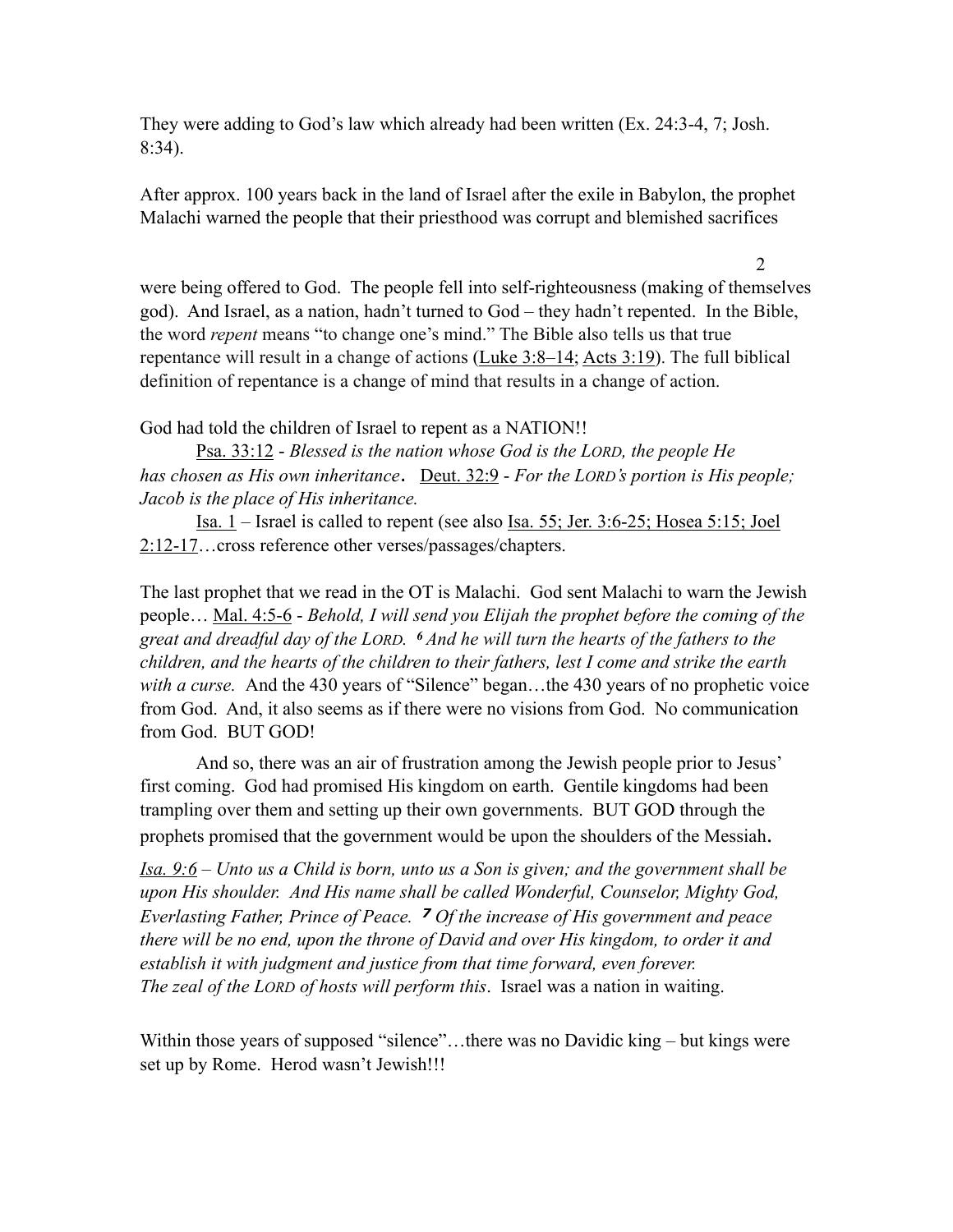They were adding to God's law which already had been written (Ex. 24:3-4, 7; Josh. 8:34).

After approx. 100 years back in the land of Israel after the exile in Babylon, the prophet Malachi warned the people that their priesthood was corrupt and blemished sacrifices

 2 were being offered to God. The people fell into self-righteousness (making of themselves god). And Israel, as a nation, hadn't turned to God – they hadn't repented. In the Bible, the word *repent* means "to change one's mind." The Bible also tells us that true repentance will result in a change of actions  $(Luke 3:8–14; Acts 3:19)$  $(Luke 3:8–14; Acts 3:19)$  $(Luke 3:8–14; Acts 3:19)$ . The full biblical definition of repentance is a change of mind that results in a change of action.

God had told the children of Israel to repent as a NATION!!

Psa. 33:12 - *Blessed is the nation whose God is the LORD, the people He has chosen as His own inheritance*. Deut. 32:9 - *For the LORD's portion is His people; Jacob is the place of His inheritance.* 

Isa. 1 – Israel is called to repent (see also Isa. 55; Jer. 3:6-25; Hosea 5:15; Joel 2:12-17…cross reference other verses/passages/chapters.

The last prophet that we read in the OT is Malachi. God sent Malachi to warn the Jewish people… Mal. 4:5-6 - *Behold, I will send you Elijah the prophet before the coming of the great and dreadful day of the LORD. 6 And he will turn the hearts of the fathers to the children, and the hearts of the children to their fathers, lest I come and strike the earth with a curse.* And the 430 years of "Silence" began...the 430 years of no prophetic voice from God. And, it also seems as if there were no visions from God. No communication from God. BUT GOD!

And so, there was an air of frustration among the Jewish people prior to Jesus' first coming. God had promised His kingdom on earth. Gentile kingdoms had been trampling over them and setting up their own governments. BUT GOD through the prophets promised that the government would be upon the shoulders of the Messiah.

*Isa. 9:6 – Unto us a Child is born, unto us a Son is given; and the government shall be upon His shoulder. And His name shall be called Wonderful, Counselor, Mighty God, Everlasting Father, Prince of Peace. 7 Of the increase of His government and peace there will be no end, upon the throne of David and over His kingdom, to order it and establish it with judgment and justice from that time forward, even forever. The zeal of the LORD of hosts will perform this*. Israel was a nation in waiting.

Within those years of supposed "silence"...there was no Davidic king – but kings were set up by Rome. Herod wasn't Jewish!!!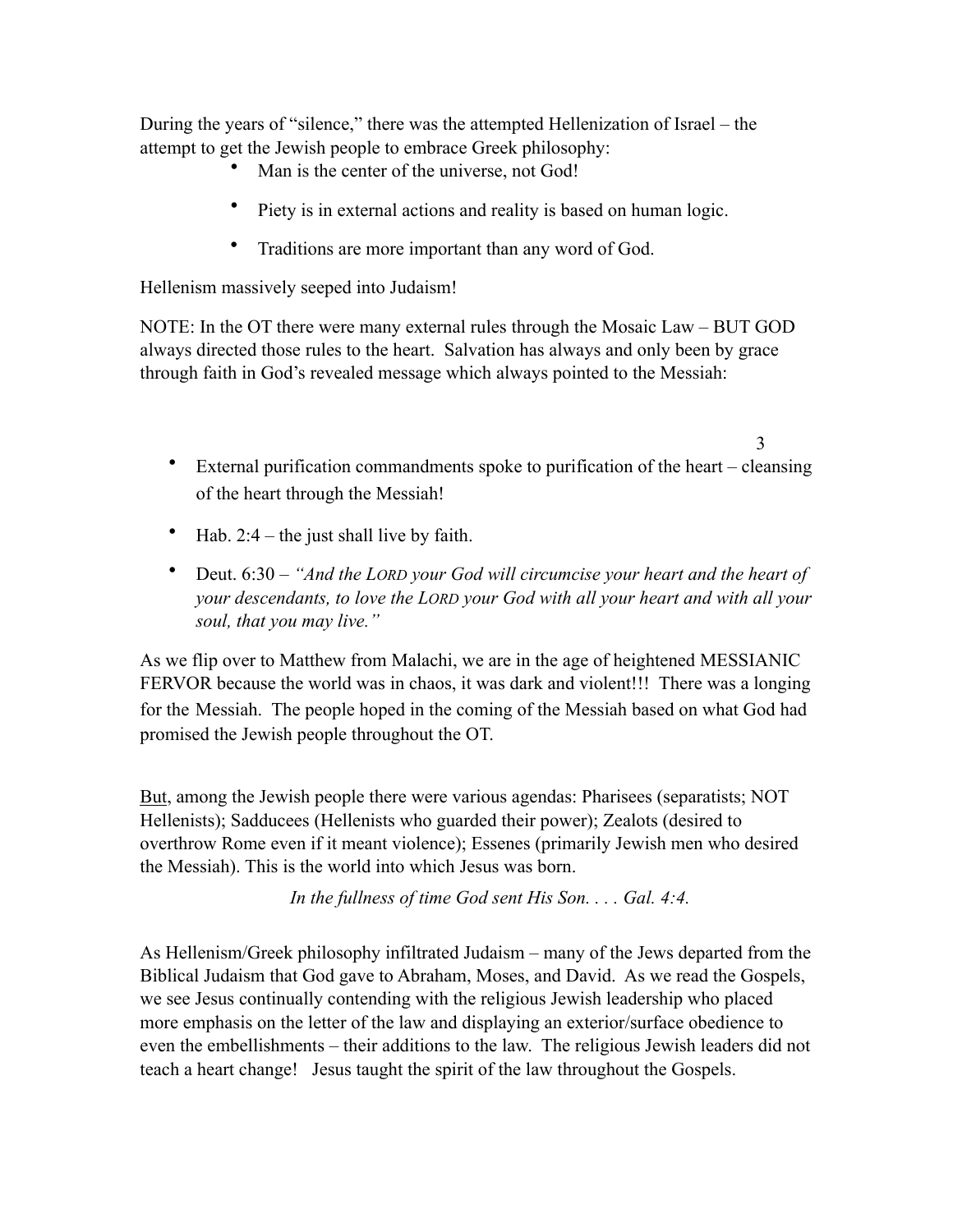During the years of "silence," there was the attempted Hellenization of Israel – the attempt to get the Jewish people to embrace Greek philosophy:

- Man is the center of the universe, not God!
- Piety is in external actions and reality is based on human logic.
- Traditions are more important than any word of God.

Hellenism massively seeped into Judaism!

NOTE: In the OT there were many external rules through the Mosaic Law – BUT GOD always directed those rules to the heart. Salvation has always and only been by grace through faith in God's revealed message which always pointed to the Messiah:

- 3 • External purification commandments spoke to purification of the heart – cleansing of the heart through the Messiah!
	- Hab.  $2:4$  the just shall live by faith.
	- Deut. 6:30  *"And the LORD your God will circumcise your heart and the heart of your descendants, to love the LORD your God with all your heart and with all your soul, that you may live."*

As we flip over to Matthew from Malachi, we are in the age of heightened MESSIANIC FERVOR because the world was in chaos, it was dark and violent!!! There was a longing for the Messiah. The people hoped in the coming of the Messiah based on what God had promised the Jewish people throughout the OT.

But, among the Jewish people there were various agendas: Pharisees (separatists; NOT Hellenists); Sadducees (Hellenists who guarded their power); Zealots (desired to overthrow Rome even if it meant violence); Essenes (primarily Jewish men who desired the Messiah). This is the world into which Jesus was born.

*In the fullness of time God sent His Son. . . . Gal. 4:4.* 

As Hellenism/Greek philosophy infiltrated Judaism – many of the Jews departed from the Biblical Judaism that God gave to Abraham, Moses, and David. As we read the Gospels, we see Jesus continually contending with the religious Jewish leadership who placed more emphasis on the letter of the law and displaying an exterior/surface obedience to even the embellishments – their additions to the law. The religious Jewish leaders did not teach a heart change! Jesus taught the spirit of the law throughout the Gospels.